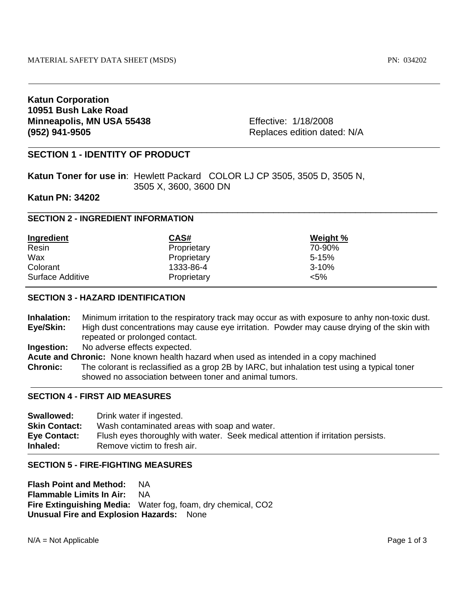# **Katun Corporation 10951 Bush Lake Road Minneapolis, MN USA 55438** Effective: 1/18/2008 **(952) 941-9505 Replaces edition dated: N/A**

# **SECTION 1 - IDENTITY OF PRODUCT**

**Katun Toner for use in**: Hewlett Packard COLOR LJ CP 3505, 3505 D, 3505 N, 3505 X, 3600, 3600 DN

## **Katun PN: 34202**

## **SECTION 2 - INGREDIENT INFORMATION**

| <b>Ingredient</b> | CAS#        | Weight %  |
|-------------------|-------------|-----------|
| Resin             | Proprietary | 70-90%    |
| Wax               | Proprietary | $5 - 15%$ |
| Colorant          | 1333-86-4   | $3 - 10%$ |
| Surface Additive  | Proprietary | $< 5\%$   |

# **SECTION 3 - HAZARD IDENTIFICATION**

**Inhalation:** Minimum irritation to the respiratory track may occur as with exposure to anhy non-toxic dust. **Eye/Skin:** High dust concentrations may cause eye irritation. Powder may cause drying of the skin with repeated or prolonged contact.

\_\_\_\_\_\_\_\_\_\_\_\_\_\_\_\_\_\_\_\_\_\_\_\_\_\_\_\_\_\_\_\_\_\_\_\_\_\_\_\_\_\_\_\_\_\_\_\_\_\_\_\_\_\_\_\_\_\_\_\_\_\_\_\_\_\_\_\_\_\_\_\_\_\_\_\_\_\_\_\_

**Ingestion:** No adverse effects expected.

**Acute and Chronic:** None known health hazard when used as intended in a copy machined

**Chronic:** The colorant is reclassified as a grop 2B by IARC, but inhalation test using a typical toner showed no association between toner and animal tumors.

## **SECTION 4 - FIRST AID MEASURES**

**Swallowed:** Drink water if ingested. **Skin Contact:** Wash contaminated areas with soap and water. **Eye Contact:** Flush eyes thoroughly with water. Seek medical attention if irritation persists. **Inhaled: Remove victim to fresh air.** 

## **SECTION 5 - FIRE-FIGHTING MEASURES**

**Flash Point and Method:** NA **Flammable Limits In Air:** NA **Fire Extinguishing Media:** Water fog, foam, dry chemical, CO2 **Unusual Fire and Explosion Hazards:** None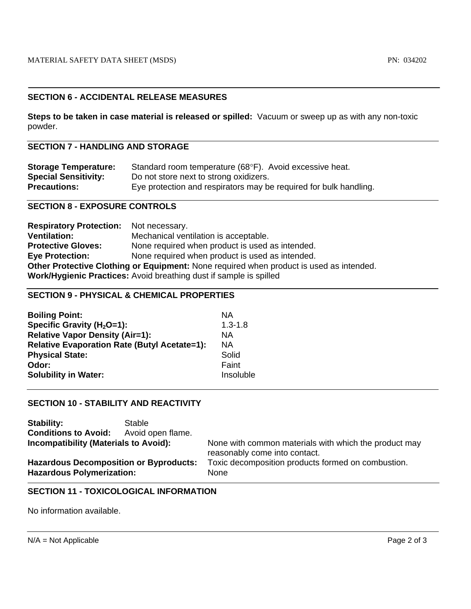# **SECTION 6 - ACCIDENTAL RELEASE MEASURES**

**Steps to be taken in case material is released or spilled:** Vacuum or sweep up as with any non-toxic powder.

## **SECTION 7 - HANDLING AND STORAGE**

| <b>Storage Temperature:</b> | Standard room temperature (68°F). Avoid excessive heat.           |
|-----------------------------|-------------------------------------------------------------------|
| <b>Special Sensitivity:</b> | Do not store next to strong oxidizers.                            |
| <b>Precautions:</b>         | Eye protection and respirators may be required for bulk handling. |

## **SECTION 8 - EXPOSURE CONTROLS**

| <b>Respiratory Protection:</b> Not necessary.                                           |                                                                    |  |
|-----------------------------------------------------------------------------------------|--------------------------------------------------------------------|--|
| <b>Ventilation:</b>                                                                     | Mechanical ventilation is acceptable.                              |  |
| <b>Protective Gloves:</b>                                                               | None required when product is used as intended.                    |  |
| <b>Eye Protection:</b>                                                                  | None required when product is used as intended.                    |  |
| Other Protective Clothing or Equipment: None required when product is used as intended. |                                                                    |  |
|                                                                                         | Work/Hygienic Practices: Avoid breathing dust if sample is spilled |  |

## **SECTION 9 - PHYSICAL & CHEMICAL PROPERTIES**

| <b>Boiling Point:</b>                               | ΝA          |
|-----------------------------------------------------|-------------|
| Specific Gravity ( $H_2O=1$ ):                      | $1.3 - 1.8$ |
| <b>Relative Vapor Density (Air=1):</b>              | ΝA          |
| <b>Relative Evaporation Rate (Butyl Acetate=1):</b> | <b>NA</b>   |
| <b>Physical State:</b>                              | Solid       |
| Odor:                                               | Faint       |
| <b>Solubility in Water:</b>                         | Insoluble   |
|                                                     |             |

# **SECTION 10 - STABILITY AND REACTIVITY**

| Stability:                                                                        | Stable            |                                                                                        |
|-----------------------------------------------------------------------------------|-------------------|----------------------------------------------------------------------------------------|
| <b>Conditions to Avoid:</b>                                                       | Avoid open flame. |                                                                                        |
| <b>Incompatibility (Materials to Avoid):</b>                                      |                   | None with common materials with which the product may<br>reasonably come into contact. |
| <b>Hazardous Decomposition or Byproducts:</b><br><b>Hazardous Polymerization:</b> |                   | Toxic decomposition products formed on combustion.<br><b>None</b>                      |

# **SECTION 11 - TOXICOLOGICAL INFORMATION**

No information available.